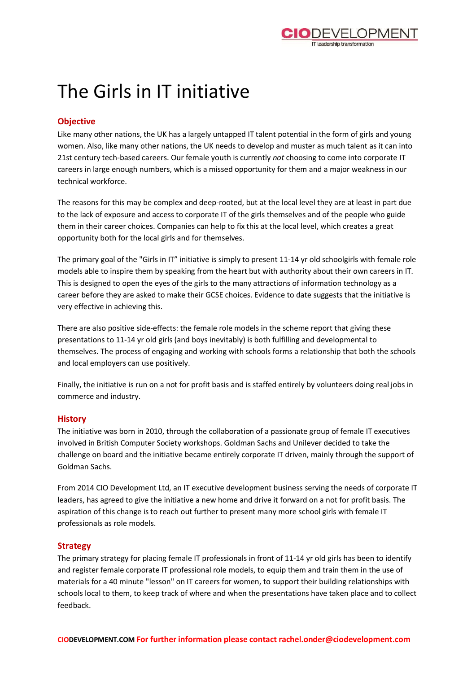

# The Girls in IT initiative

## **Objective**

Like many other nations, the UK has a largely untapped IT talent potential in the form of girls and young women. Also, like many other nations, the UK needs to develop and muster as much talent as it can into 21st century tech-based careers. Our female youth is currently *not* choosing to come into corporate IT careers in large enough numbers, which is a missed opportunity for them and a major weakness in our technical workforce.

The reasons for this may be complex and deep-rooted, but at the local level they are at least in part due to the lack of exposure and access to corporate IT of the girls themselves and of the people who guide them in their career choices. Companies can help to fix this at the local level, which creates a great opportunity both for the local girls and for themselves.

The primary goal of the "Girls in IT" initiative is simply to present 11-14 yr old schoolgirls with female role models able to inspire them by speaking from the heart but with authority about their own careers in IT. This is designed to open the eyes of the girls to the many attractions of information technology as a career before they are asked to make their GCSE choices. Evidence to date suggests that the initiative is very effective in achieving this.

There are also positive side-effects: the female role models in the scheme report that giving these presentations to 11-14 yr old girls (and boys inevitably) is both fulfilling and developmental to themselves. The process of engaging and working with schools forms a relationship that both the schools and local employers can use positively.

Finally, the initiative is run on a not for profit basis and is staffed entirely by volunteers doing real jobs in commerce and industry.

#### **History**

The initiative was born in 2010, through the collaboration of a passionate group of female IT executives involved in British Computer Society workshops. Goldman Sachs and Unilever decided to take the challenge on board and the initiative became entirely corporate IT driven, mainly through the support of Goldman Sachs.

From 2014 CIO Development Ltd, an IT executive development business serving the needs of corporate IT leaders, has agreed to give the initiative a new home and drive it forward on a not for profit basis. The aspiration of this change is to reach out further to present many more school girls with female IT professionals as role models.

#### **Strategy**

The primary strategy for placing female IT professionals in front of 11-14 yr old girls has been to identify and register female corporate IT professional role models, to equip them and train them in the use of materials for a 40 minute "lesson" on IT careers for women, to support their building relationships with schools local to them, to keep track of where and when the presentations have taken place and to collect feedback.